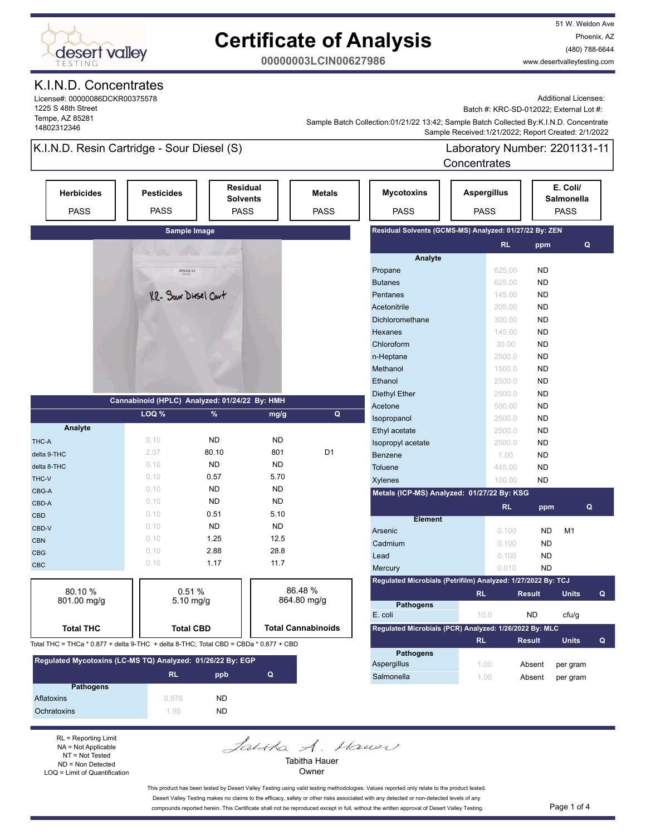

51 W. Weldon Ave Phoenix, AZ (480) 788-6644 www.desertvalleytesting.com

**00000003LCIN00627986**

#### K.I.N.D. Concentrates

License#: 00000086DCKR00375578 1225 S 48th Street Tempe, AZ 85281 14802312346

Additional Licenses:

Batch #: KRC-SD-012022; External Lot #:

 Sample Received:1/21/2022; Report Created: 2/1/2022 Sample Batch Collection:01/21/22 13:42; Sample Batch Collected By:K.I.N.D. Concentrate

### K.I.N.D. Resin Cartridge - Sour Diesel (S)

Laboratory Number: 2201131-11 **Concentrates** 

| <b>Herbicides</b><br><b>PASS</b>                                                                         | <b>Pesticides</b><br><b>PASS</b>              |                      | <b>Residual</b><br><b>Solvents</b><br><b>PASS</b> | <b>Metals</b><br><b>PASS</b> | <b>Mycotoxins</b><br><b>PASS</b>                             | <b>Aspergillus</b><br><b>PASS</b> |                        | E. Coli/<br>Salmonella<br><b>PASS</b> |              |
|----------------------------------------------------------------------------------------------------------|-----------------------------------------------|----------------------|---------------------------------------------------|------------------------------|--------------------------------------------------------------|-----------------------------------|------------------------|---------------------------------------|--------------|
|                                                                                                          |                                               | Sample Image         |                                                   |                              | Residual Solvents (GCMS-MS) Analyzed: 01/27/22 By: ZEN       |                                   |                        |                                       |              |
|                                                                                                          |                                               |                      |                                                   |                              |                                                              | <b>RL</b>                         | ppm                    |                                       | Q            |
|                                                                                                          |                                               |                      |                                                   |                              | Analyte                                                      |                                   |                        |                                       |              |
|                                                                                                          |                                               | 2201131-11           |                                                   |                              | Propane                                                      | 625.00                            | <b>ND</b>              |                                       |              |
|                                                                                                          |                                               |                      |                                                   |                              | <b>Butanes</b>                                               | 625.00                            | <b>ND</b>              |                                       |              |
|                                                                                                          |                                               | KR- Sour Diesel Cart |                                                   |                              | Pentanes                                                     | 145.00                            | <b>ND</b>              |                                       |              |
|                                                                                                          |                                               |                      |                                                   |                              | Acetonitrile                                                 | 205.00                            | <b>ND</b>              |                                       |              |
|                                                                                                          |                                               |                      |                                                   |                              | Dichloromethane                                              | 300.00                            | <b>ND</b>              |                                       |              |
|                                                                                                          |                                               |                      |                                                   |                              | Hexanes                                                      | 145.00                            | <b>ND</b>              |                                       |              |
|                                                                                                          |                                               |                      |                                                   |                              | Chloroform                                                   | 30.00                             | <b>ND</b>              |                                       |              |
|                                                                                                          |                                               |                      |                                                   |                              | n-Heptane<br>Methanol                                        | 2500.0                            | <b>ND</b>              |                                       |              |
|                                                                                                          |                                               |                      |                                                   |                              | Ethanol                                                      | 1500.0                            | <b>ND</b>              |                                       |              |
|                                                                                                          |                                               |                      |                                                   |                              |                                                              | 2500.0                            | <b>ND</b>              |                                       |              |
|                                                                                                          | Cannabinoid (HPLC) Analyzed: 01/24/22 By: HMH |                      |                                                   |                              | <b>Diethyl Ether</b>                                         | 2500.0                            | <b>ND</b><br><b>ND</b> |                                       |              |
|                                                                                                          | LOQ %                                         | %                    | mg/g                                              | Q                            | Acetone                                                      | 500.00<br>2500.0                  |                        |                                       |              |
| Analyte                                                                                                  |                                               |                      |                                                   |                              | Isopropanol                                                  | 2500.0                            | <b>ND</b><br><b>ND</b> |                                       |              |
| THC-A                                                                                                    | 0.10                                          | <b>ND</b>            | <b>ND</b>                                         |                              | Ethyl acetate<br>Isopropyl acetate                           | 2500.0                            | <b>ND</b>              |                                       |              |
| delta 9-THC                                                                                              | 2.07                                          | 80.10                | 801                                               | D <sub>1</sub>               | <b>Benzene</b>                                               | 1.00                              | <b>ND</b>              |                                       |              |
| delta 8-THC                                                                                              | 0.10                                          | <b>ND</b>            | <b>ND</b>                                         |                              | <b>Toluene</b>                                               | 445.00                            | <b>ND</b>              |                                       |              |
| THC-V                                                                                                    | 0.10                                          | 0.57                 | 5.70                                              |                              | <b>Xylenes</b>                                               | 100.00                            | <b>ND</b>              |                                       |              |
| CBG-A                                                                                                    | 0.10                                          | <b>ND</b>            | <b>ND</b>                                         |                              | Metals (ICP-MS) Analyzed: 01/27/22 By: KSG                   |                                   |                        |                                       |              |
| CBD-A                                                                                                    | 0.10                                          | <b>ND</b>            | <b>ND</b>                                         |                              |                                                              |                                   |                        |                                       |              |
| <b>CBD</b>                                                                                               | 0.10                                          | 0.51                 | 5.10                                              |                              |                                                              | <b>RL</b>                         | ppm                    |                                       | Q            |
| CBD-V                                                                                                    | 0.10                                          | <b>ND</b>            | <b>ND</b>                                         |                              | <b>Element</b>                                               |                                   |                        |                                       |              |
| <b>CBN</b>                                                                                               | 0.10                                          | 1.25                 | 12.5                                              |                              | Arsenic                                                      | 0.100                             | <b>ND</b>              | M <sub>1</sub>                        |              |
| <b>CBG</b>                                                                                               | 0.10                                          | 2.88                 | 28.8                                              |                              | Cadmium                                                      | 0.100                             | <b>ND</b>              |                                       |              |
| <b>CBC</b>                                                                                               | 0.10                                          | 1.17                 | 11.7                                              |                              | Lead                                                         | 0.100                             | <b>ND</b>              |                                       |              |
|                                                                                                          |                                               |                      |                                                   |                              | Mercury                                                      | 0.010                             | <b>ND</b>              |                                       |              |
| 80.10 %                                                                                                  |                                               | 0.51%                |                                                   | 86.48 %                      | Regulated Microbials (Petrifilm) Analyzed: 1/27/2022 By: TCJ |                                   |                        |                                       |              |
| 801.00 mg/g                                                                                              |                                               | $5.10$ mg/g          |                                                   | 864.80 mg/g                  | <b>Pathogens</b>                                             | <b>RL</b>                         | <b>Result</b>          | <b>Units</b>                          | $\mathbf{Q}$ |
|                                                                                                          |                                               |                      |                                                   |                              | E. coli                                                      | 10.0                              | <b>ND</b>              | cfu/g                                 |              |
| <b>Total THC</b>                                                                                         |                                               |                      |                                                   | <b>Total Cannabinoids</b>    | Regulated Microbials (PCR) Analyzed: 1/26/2022 By: MLC       |                                   |                        |                                       |              |
| <b>Total CBD</b><br>Total THC = THCa * 0.877 + delta 9-THC + delta 8-THC; Total CBD = CBDa * 0.877 + CBD |                                               |                      |                                                   |                              | <b>RL</b>                                                    | <b>Result</b>                     | <b>Units</b>           | Q                                     |              |
|                                                                                                          |                                               |                      |                                                   |                              | <b>Pathogens</b>                                             |                                   |                        |                                       |              |
| Regulated Mycotoxins (LC-MS TQ) Analyzed: 01/26/22 By: EGP                                               |                                               |                      |                                                   |                              | Aspergillus                                                  | 1.00                              | Absent                 | per gram                              |              |
|                                                                                                          | <b>RL</b>                                     | ppb                  | Q                                                 |                              | Salmonella                                                   | 1.00                              | Absent                 | per gram                              |              |
| <b>Pathogens</b>                                                                                         |                                               |                      |                                                   |                              |                                                              |                                   |                        |                                       |              |
| Aflatoxins                                                                                               | 0.976                                         | <b>ND</b>            |                                                   |                              |                                                              |                                   |                        |                                       |              |

RL = Reporting Limit NA = Not Applicable NT = Not Tested ND = Non Detected LOQ = Limit of Quantification

Ochratoxins ND

Jahtha A. Hauer Tabitha Hauer

Owner

This product has been tested by Desert Valley Testing using valid testing methodologies. Values reported only relate to the product tested. Desert Valley Testing makes no claims to the efficacy, safety or other risks associated with any detected or non-detected levels of any compounds reported herein. This Certificate shall not be reproduced except in full, without the written approval of Desert Valley Testing. Page 1 of 4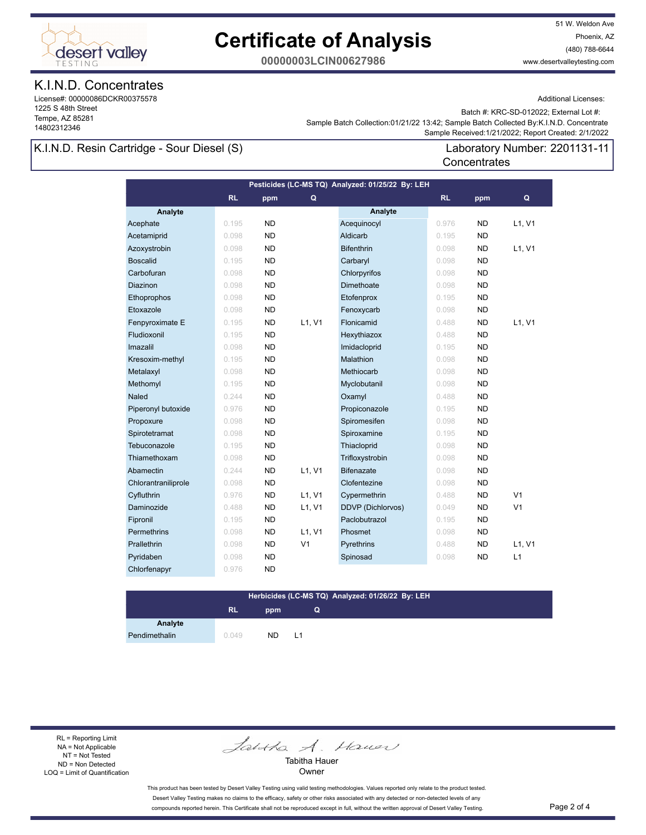

51 W. Weldon Ave Phoenix, AZ (480) 788-6644 www.desertvalleytesting.com

**00000003LCIN00627986**

### K.I.N.D. Concentrates

License#: 00000086DCKR00375578 1225 S 48th Street Tempe, AZ 85281 14802312346

Additional Licenses:

Batch #: KRC-SD-012022; External Lot #:

Laboratory Number: 2201131-11

 Sample Received:1/21/2022; Report Created: 2/1/2022 Sample Batch Collection:01/21/22 13:42; Sample Batch Collected By:K.I.N.D. Concentrate

**Concentrates** 

### K.I.N.D. Resin Cartridge - Sour Diesel (S)

| Pesticides (LC-MS TQ) Analyzed: 01/25/22 By: LEH |           |           |                |                          |           |           |                |  |
|--------------------------------------------------|-----------|-----------|----------------|--------------------------|-----------|-----------|----------------|--|
|                                                  | <b>RL</b> | ppm       | Q              |                          | <b>RL</b> | ppm       | Q              |  |
| Analyte                                          |           |           |                | Analyte                  |           |           |                |  |
| Acephate                                         | 0.195     | <b>ND</b> |                | Acequinocyl              | 0.976     | <b>ND</b> | L1, V1         |  |
| Acetamiprid                                      | 0.098     | <b>ND</b> |                | Aldicarb                 | 0.195     | <b>ND</b> |                |  |
| Azoxystrobin                                     | 0.098     | <b>ND</b> |                | <b>Bifenthrin</b>        | 0.098     | ND        | L1, V1         |  |
| <b>Boscalid</b>                                  | 0.195     | <b>ND</b> |                | Carbaryl                 | 0.098     | <b>ND</b> |                |  |
| Carbofuran                                       | 0.098     | <b>ND</b> |                | Chlorpyrifos             | 0.098     | <b>ND</b> |                |  |
| Diazinon                                         | 0.098     | <b>ND</b> |                | Dimethoate               | 0.098     | <b>ND</b> |                |  |
| Ethoprophos                                      | 0.098     | <b>ND</b> |                | Etofenprox               | 0.195     | <b>ND</b> |                |  |
| Etoxazole                                        | 0.098     | <b>ND</b> |                | Fenoxycarb               | 0.098     | <b>ND</b> |                |  |
| Fenpyroximate E                                  | 0.195     | <b>ND</b> | L1, V1         | Flonicamid               | 0.488     | <b>ND</b> | L1, V1         |  |
| Fludioxonil                                      | 0.195     | <b>ND</b> |                | Hexythiazox              | 0.488     | <b>ND</b> |                |  |
| Imazalil                                         | 0.098     | <b>ND</b> |                | Imidacloprid             | 0.195     | <b>ND</b> |                |  |
| Kresoxim-methyl                                  | 0.195     | <b>ND</b> |                | Malathion                | 0.098     | <b>ND</b> |                |  |
| Metalaxyl                                        | 0.098     | <b>ND</b> |                | Methiocarb               | 0.098     | <b>ND</b> |                |  |
| Methomyl                                         | 0.195     | <b>ND</b> |                | Myclobutanil             | 0.098     | <b>ND</b> |                |  |
| Naled                                            | 0.244     | <b>ND</b> |                | Oxamyl                   | 0.488     | <b>ND</b> |                |  |
| Piperonyl butoxide                               | 0.976     | <b>ND</b> |                | Propiconazole            | 0.195     | <b>ND</b> |                |  |
| Propoxure                                        | 0.098     | <b>ND</b> |                | Spiromesifen             | 0.098     | <b>ND</b> |                |  |
| Spirotetramat                                    | 0.098     | <b>ND</b> |                | Spiroxamine              | 0.195     | <b>ND</b> |                |  |
| Tebuconazole                                     | 0.195     | <b>ND</b> |                | Thiacloprid              | 0.098     | <b>ND</b> |                |  |
| Thiamethoxam                                     | 0.098     | <b>ND</b> |                | Trifloxystrobin          | 0.098     | <b>ND</b> |                |  |
| Abamectin                                        | 0.244     | <b>ND</b> | L1, V1         | <b>Bifenazate</b>        | 0.098     | <b>ND</b> |                |  |
| Chlorantraniliprole                              | 0.098     | ND        |                | Clofentezine             | 0.098     | <b>ND</b> |                |  |
| Cyfluthrin                                       | 0.976     | <b>ND</b> | L1, V1         | Cypermethrin             | 0.488     | <b>ND</b> | V <sub>1</sub> |  |
| Daminozide                                       | 0.488     | <b>ND</b> | L1, V1         | <b>DDVP</b> (Dichlorvos) | 0.049     | <b>ND</b> | V <sub>1</sub> |  |
| Fipronil                                         | 0.195     | <b>ND</b> |                | Paclobutrazol            | 0.195     | <b>ND</b> |                |  |
| Permethrins                                      | 0.098     | <b>ND</b> | L1, V1         | Phosmet                  | 0.098     | <b>ND</b> |                |  |
| Prallethrin                                      | 0.098     | <b>ND</b> | V <sub>1</sub> | Pyrethrins               | 0.488     | <b>ND</b> | L1, V1         |  |
| Pyridaben                                        | 0.098     | <b>ND</b> |                | Spinosad                 | 0.098     | ND        | L1             |  |
| Chlorfenapyr                                     | 0.976     | <b>ND</b> |                |                          |           |           |                |  |

#### **Herbicides (LC-MS TQ) Analyzed: 01/26/22 By: LEH**

**Q**

### **RL ppm**

**Analyte**

Pendimethalin 0.049 ND L1

RL = Reporting Limit NA = Not Applicable NT = Not Tested ND = Non Detected LOQ = Limit of Quantification

Jantha A. Hauer

Tabitha Hauer Owner

This product has been tested by Desert Valley Testing using valid testing methodologies. Values reported only relate to the product tested. Desert Valley Testing makes no claims to the efficacy, safety or other risks associated with any detected or non-detected levels of any compounds reported herein. This Certificate shall not be reproduced except in full, without the written approval of Desert Valley Testing. Page 2 of 4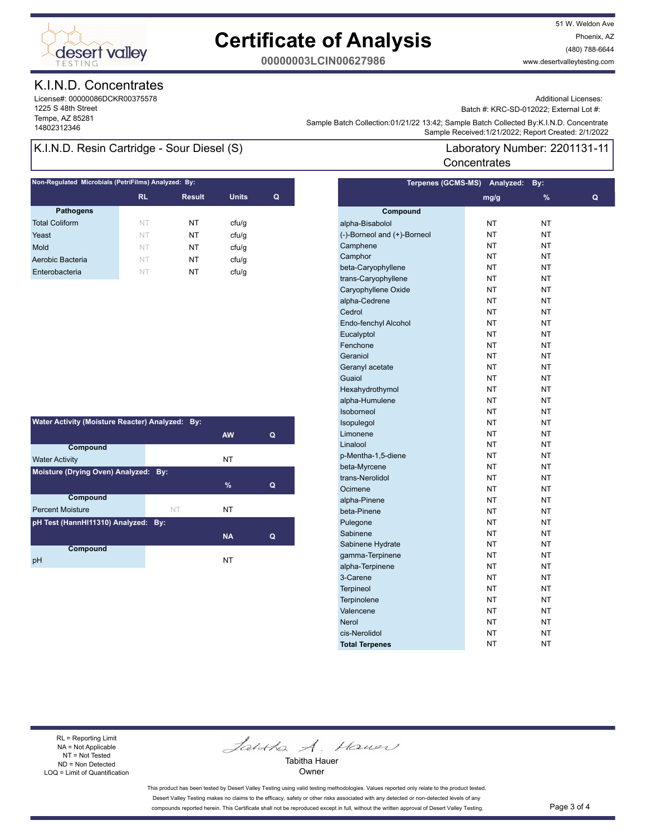

51 W. Weldon Ave Phoenix, AZ (480) 788-6644 www.desertvalleytesting.com

**00000003LCIN00627986**

### K.I.N.D. Concentrates

License#: 00000086DCKR00375578 1225 S 48th Street Tempe, AZ 85281

Additional Licenses:

Batch #: KRC-SD-012022; External Lot #:

Laboratory Number: 2201131-11

Sample Battri Collection.orizinzzi istaz, Sample Battri Collection (State Collection 2012)<br>Sample Received:1/21/2022; Report Created: 2/1/2022 Sample Batch Collection:01/21/22 13:42; Sample Batch Collected By:K.I.N.D. Concentrate

**Concentrates** 

### K.I.N.D. Resin Cartridge - Sour Diesel (S)

| Non-Regulated Microbials (PetriFilms) Analyzed: By: |           |               |              |   |  |  |
|-----------------------------------------------------|-----------|---------------|--------------|---|--|--|
|                                                     | <b>RL</b> | <b>Result</b> | <b>Units</b> | Q |  |  |
| <b>Pathogens</b>                                    |           |               |              |   |  |  |
| <b>Total Coliform</b>                               | NT        | NT            | ctu/g        |   |  |  |
| Yeast                                               | NT        | NT            | ctu/g        |   |  |  |
| Mold                                                | NT        | NT            | cfu/q        |   |  |  |
| Aerobic Bacteria                                    | NT        | NT            | cfu/q        |   |  |  |
| Enterobacteria                                      | NT        | NT            | ctu/g        |   |  |  |
|                                                     |           |               |              |   |  |  |

| Water Activity (Moisture Reacter) Analyzed: By: |                                      |           |   |  |  |  |  |
|-------------------------------------------------|--------------------------------------|-----------|---|--|--|--|--|
|                                                 |                                      | <b>AW</b> | Q |  |  |  |  |
| Compound                                        |                                      |           |   |  |  |  |  |
| <b>Water Activity</b>                           |                                      | NT        |   |  |  |  |  |
|                                                 | Moisture (Drying Oven) Analyzed: By: |           |   |  |  |  |  |
|                                                 |                                      | $\%$      | Q |  |  |  |  |
| Compound                                        |                                      |           |   |  |  |  |  |
| <b>Percent Moisture</b>                         | NT                                   | NT        |   |  |  |  |  |
| pH Test (HannHI11310) Analyzed: By:             |                                      |           |   |  |  |  |  |
|                                                 |                                      | <b>NA</b> | Q |  |  |  |  |
| Compound                                        |                                      |           |   |  |  |  |  |
| рH                                              |                                      | NT        |   |  |  |  |  |

|                             | Terpenes (GCMS-MS) Analyzed: | By:           |   |
|-----------------------------|------------------------------|---------------|---|
|                             | mg/g                         | $\frac{9}{6}$ | Q |
| Compound                    |                              |               |   |
| alpha-Bisabolol             | NT                           | <b>NT</b>     |   |
| (-)-Borneol and (+)-Borneol | NT                           | <b>NT</b>     |   |
| Camphene                    | NΤ                           | NT            |   |
| Camphor                     | <b>NT</b>                    | <b>NT</b>     |   |
| beta-Caryophyllene          | <b>NT</b>                    | <b>NT</b>     |   |
| trans-Caryophyllene         | NT                           | <b>NT</b>     |   |
| Caryophyllene Oxide         | NT                           | <b>NT</b>     |   |
| alpha-Cedrene               | ΝT                           | <b>NT</b>     |   |
| Cedrol                      | NΤ                           | NT            |   |
| Endo-fenchyl Alcohol        | <b>NT</b>                    | <b>NT</b>     |   |
| Eucalyptol                  | NT                           | <b>NT</b>     |   |
| Fenchone                    | NT                           | <b>NT</b>     |   |
| Geraniol                    | NΤ                           | <b>NT</b>     |   |
| Geranyl acetate             | NΤ                           | <b>NT</b>     |   |
| Guaiol                      | NΤ                           | <b>NT</b>     |   |
| Hexahydrothymol             | NT                           | <b>NT</b>     |   |
| alpha-Humulene              | NT                           | <b>NT</b>     |   |
| Isoborneol                  | NT                           | <b>NT</b>     |   |
| Isopulegol                  | NΤ                           | <b>NT</b>     |   |
| Limonene                    | ΝT                           | ΝT            |   |
| Linalool                    | ΝT                           | ΝT            |   |
| p-Mentha-1,5-diene          | NT                           | <b>NT</b>     |   |
| beta-Myrcene                | NT                           | <b>NT</b>     |   |
| trans-Nerolidol             | NT                           | <b>NT</b>     |   |
| Ocimene                     | NΤ                           | <b>NT</b>     |   |
| alpha-Pinene                | NΤ                           | NT            |   |
| beta-Pinene                 | NT                           | NT            |   |
| Pulegone                    | <b>NT</b>                    | <b>NT</b>     |   |
| Sabinene                    | NT                           | <b>NT</b>     |   |
| Sabinene Hydrate            | NT                           | <b>NT</b>     |   |
| gamma-Terpinene             | NΤ                           | <b>NT</b>     |   |
| alpha-Terpinene             | NΤ                           | <b>NT</b>     |   |
| 3-Carene                    | ΝT                           | <b>NT</b>     |   |
| <b>Terpineol</b>            | <b>NT</b>                    | <b>NT</b>     |   |
| Terpinolene                 | NT                           | <b>NT</b>     |   |
| Valencene                   | NT                           | <b>NT</b>     |   |
| <b>Nerol</b>                | ΝT                           | <b>NT</b>     |   |
| cis-Nerolidol               | NΤ                           | NΤ            |   |
| <b>Total Terpenes</b>       | NΤ                           | <b>NT</b>     |   |
|                             |                              |               |   |

#### RL = Reporting Limit NA = Not Applicable NT = Not Tested ND = Non Detected LOQ = Limit of Quantification

Jantha A. Hauer

Tabitha Hauer Owner

This product has been tested by Desert Valley Testing using valid testing methodologies. Values reported only relate to the product tested. Desert Valley Testing makes no claims to the efficacy, safety or other risks associated with any detected or non-detected levels of any compounds reported herein. This Certificate shall not be reproduced except in full, without the written approval of Desert Valley Testing. Page 3 of 4